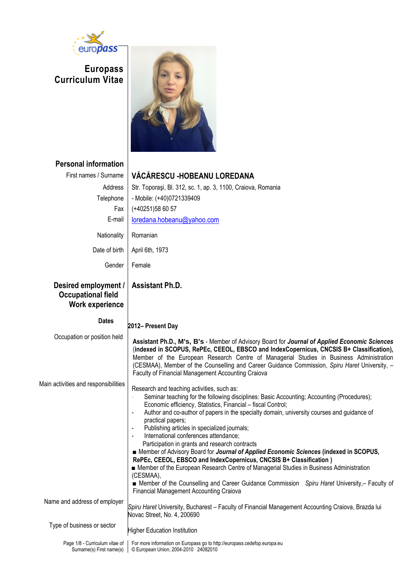

**Europass Curriculum Vitae**



| <b>Personal information</b><br>First names / Surname<br>Address<br>Telephone<br>Fax<br>E-mail<br>Nationality<br>Date of birth<br>Gender | VĂCĂRESCU -HOBEANU LOREDANA<br>Str. Toporași, Bl. 312, sc. 1, ap. 3, 1100, Craiova, Romania<br>- Mobile: (+40)0721339409<br>$(+40251)586057$<br>loredana.hobeanu@yahoo.com<br>Romanian<br>April 6th, 1973<br>Female                                                                                                                                                                                                                                                                                                                                                                                                                                                                                                                                                                                                                                                                                     |
|-----------------------------------------------------------------------------------------------------------------------------------------|---------------------------------------------------------------------------------------------------------------------------------------------------------------------------------------------------------------------------------------------------------------------------------------------------------------------------------------------------------------------------------------------------------------------------------------------------------------------------------------------------------------------------------------------------------------------------------------------------------------------------------------------------------------------------------------------------------------------------------------------------------------------------------------------------------------------------------------------------------------------------------------------------------|
| Desired employment /<br><b>Occupational field</b><br>Work experience                                                                    | <b>Assistant Ph.D.</b>                                                                                                                                                                                                                                                                                                                                                                                                                                                                                                                                                                                                                                                                                                                                                                                                                                                                                  |
| <b>Dates</b>                                                                                                                            | 2012- Present Day                                                                                                                                                                                                                                                                                                                                                                                                                                                                                                                                                                                                                                                                                                                                                                                                                                                                                       |
| Occupation or position held                                                                                                             | Assistant Ph.D., M's, B's - Member of Advisory Board for Journal of Applied Economic Sciences<br>(indexed in SCOPUS, RePEc, CEEOL, EBSCO and IndexCopernicus, CNCSIS B+ Classification),<br>Member of the European Research Centre of Managerial Studies in Business Administration<br>(CESMAA), Member of the Counselling and Career Guidance Commission, Spiru Haret University, -<br>Faculty of Financial Management Accounting Craiova                                                                                                                                                                                                                                                                                                                                                                                                                                                              |
| Main activities and responsibilities                                                                                                    | Research and teaching activities, such as:<br>Seminar teaching for the following disciplines: Basic Accounting; Accounting (Procedures);<br>Economic efficiency, Statistics, Financial - fiscal Control;<br>Author and co-author of papers in the specialty domain, university courses and guidance of<br>practical papers;<br>Publishing articles in specialized journals;<br>International conferences attendance;<br>Participation in grants and research contracts<br>■ Member of Advisory Board for Journal of Applied Economic Sciences (indexed in SCOPUS,<br>RePEc, CEEOL, EBSCO and IndexCopernicus, CNCSIS B+ Classification)<br>■ Member of the European Research Centre of Managerial Studies in Business Administration<br>(CESMAA),<br>■ Member of the Counselling and Career Guidance Commission, Spiru Haret University, - Faculty of<br><b>Financial Management Accounting Craiova</b> |
| Name and address of employer                                                                                                            | Spiru Haret University, Bucharest - Faculty of Financial Management Accounting Craiova, Brazda lui<br>Novac Street, No. 4, 200690                                                                                                                                                                                                                                                                                                                                                                                                                                                                                                                                                                                                                                                                                                                                                                       |
| Type of business or sector                                                                                                              | <b>Higher Education Institution</b>                                                                                                                                                                                                                                                                                                                                                                                                                                                                                                                                                                                                                                                                                                                                                                                                                                                                     |
| Page 1/8 - Curriculum vitae of<br>Surname(s) First name(s)                                                                              | For more information on Europass go to http://europass.cedefop.europa.eu<br>© European Union, 2004-2010 24082010                                                                                                                                                                                                                                                                                                                                                                                                                                                                                                                                                                                                                                                                                                                                                                                        |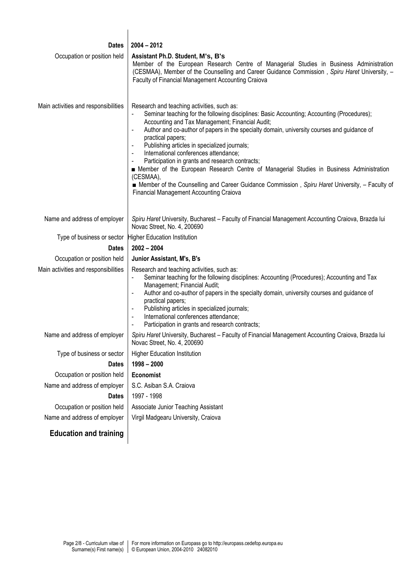| <b>Dates</b>                         | $2004 - 2012$                                                                                                                                                                                                                                                                                                                                                                                                                                                                                                                                                                                                                                                                                                                                                |
|--------------------------------------|--------------------------------------------------------------------------------------------------------------------------------------------------------------------------------------------------------------------------------------------------------------------------------------------------------------------------------------------------------------------------------------------------------------------------------------------------------------------------------------------------------------------------------------------------------------------------------------------------------------------------------------------------------------------------------------------------------------------------------------------------------------|
| Occupation or position held          | Assistant Ph.D. Student, M's, B's<br>Member of the European Research Centre of Managerial Studies in Business Administration<br>(CESMAA), Member of the Counselling and Career Guidance Commission, Spiru Haret University, -<br>Faculty of Financial Management Accounting Craiova                                                                                                                                                                                                                                                                                                                                                                                                                                                                          |
| Main activities and responsibilities | Research and teaching activities, such as:<br>Seminar teaching for the following disciplines: Basic Accounting; Accounting (Procedures);<br>Accounting and Tax Management; Financial Audit;<br>Author and co-author of papers in the specialty domain, university courses and guidance of<br>practical papers;<br>Publishing articles in specialized journals;<br>International conferences attendance;<br>$\blacksquare$<br>Participation in grants and research contracts;<br>$\blacksquare$<br>Member of the European Research Centre of Managerial Studies in Business Administration<br>(CESMAA),<br>■ Member of the Counselling and Career Guidance Commission, Spiru Haret University, - Faculty of<br><b>Financial Management Accounting Craiova</b> |
| Name and address of employer         | Spiru Haret University, Bucharest - Faculty of Financial Management Accounting Craiova, Brazda lui<br>Novac Street, No. 4, 200690                                                                                                                                                                                                                                                                                                                                                                                                                                                                                                                                                                                                                            |
|                                      | Type of business or sector Higher Education Institution                                                                                                                                                                                                                                                                                                                                                                                                                                                                                                                                                                                                                                                                                                      |
| <b>Dates</b>                         | $2002 - 2004$                                                                                                                                                                                                                                                                                                                                                                                                                                                                                                                                                                                                                                                                                                                                                |
| Occupation or position held          | Junior Assistant, M's, B's                                                                                                                                                                                                                                                                                                                                                                                                                                                                                                                                                                                                                                                                                                                                   |
| Main activities and responsibilities | Research and teaching activities, such as:<br>Seminar teaching for the following disciplines: Accounting (Procedures); Accounting and Tax<br>Management; Financial Audit;<br>Author and co-author of papers in the specialty domain, university courses and guidance of<br>practical papers;<br>Publishing articles in specialized journals;<br>International conferences attendance;<br>Participation in grants and research contracts;                                                                                                                                                                                                                                                                                                                     |
| Name and address of employer         | Spiru Haret University, Bucharest - Faculty of Financial Management Accounting Craiova, Brazda lui<br>Novac Street, No. 4, 200690                                                                                                                                                                                                                                                                                                                                                                                                                                                                                                                                                                                                                            |
| Type of business or sector           | <b>Higher Education Institution</b>                                                                                                                                                                                                                                                                                                                                                                                                                                                                                                                                                                                                                                                                                                                          |
| <b>Dates</b>                         | $1998 - 2000$                                                                                                                                                                                                                                                                                                                                                                                                                                                                                                                                                                                                                                                                                                                                                |
| Occupation or position held          | Economist                                                                                                                                                                                                                                                                                                                                                                                                                                                                                                                                                                                                                                                                                                                                                    |
| Name and address of employer         | S.C. Asiban S.A. Craiova                                                                                                                                                                                                                                                                                                                                                                                                                                                                                                                                                                                                                                                                                                                                     |
| <b>Dates</b>                         | 1997 - 1998                                                                                                                                                                                                                                                                                                                                                                                                                                                                                                                                                                                                                                                                                                                                                  |
| Occupation or position held          | Associate Junior Teaching Assistant                                                                                                                                                                                                                                                                                                                                                                                                                                                                                                                                                                                                                                                                                                                          |
| Name and address of employer         | Virgil Madgearu University, Craiova                                                                                                                                                                                                                                                                                                                                                                                                                                                                                                                                                                                                                                                                                                                          |

# **Education and training**

 $\overline{\phantom{a}}$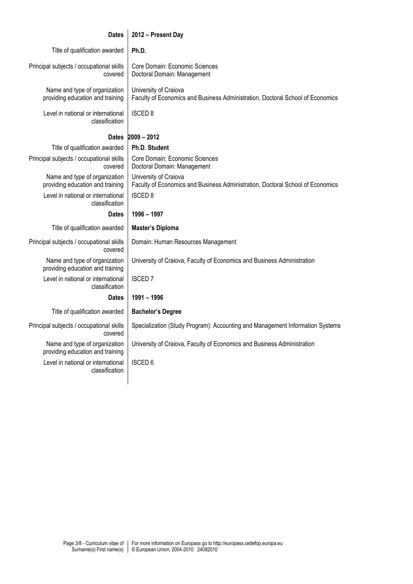| <b>Dates</b>                                                      | 2012 - Present Day                                                                                      |  |
|-------------------------------------------------------------------|---------------------------------------------------------------------------------------------------------|--|
| Title of qualification awarded                                    | Ph.D.                                                                                                   |  |
| Principal subjects / occupational skills<br>covered               | Core Domain: Economic Sciences<br>Doctoral Domain: Management                                           |  |
| Name and type of organization<br>providing education and training | University of Craiova<br>Faculty of Economics and Business Administration, Doctoral School of Economics |  |
| Level in national or international<br>classification              | <b>ISCED 8</b>                                                                                          |  |
| $2009 - 2012$<br><b>Dates</b>                                     |                                                                                                         |  |
| Title of qualification awarded                                    | Ph.D. Student                                                                                           |  |
| Principal subjects / occupational skills<br>covered               | Core Domain: Economic Sciences<br>Doctoral Domain: Management                                           |  |
| Name and type of organization<br>providing education and training | University of Craiova<br>Faculty of Economics and Business Administration, Doctoral School of Economics |  |
| Level in national or international<br>classification              | <b>ISCED 8</b>                                                                                          |  |
| <b>Dates</b>                                                      | 1996 - 1997                                                                                             |  |
| Title of qualification awarded                                    | <b>Master's Diploma</b>                                                                                 |  |
| Principal subjects / occupational skills<br>covered               | Domain: Human Resources Management                                                                      |  |
| Name and type of organization<br>providing education and training | University of Craiova, Faculty of Economics and Business Administration                                 |  |
| Level in national or international<br>classification              | <b>ISCED7</b>                                                                                           |  |
| <b>Dates</b>                                                      | 1991 - 1996                                                                                             |  |
| Title of qualification awarded                                    | <b>Bachelor's Degree</b>                                                                                |  |
| Principal subjects / occupational skills                          |                                                                                                         |  |
| covered                                                           | Specialization (Study Program): Accounting and Management Information Systems                           |  |
| Name and type of organization<br>providing education and training | University of Craiova, Faculty of Economics and Business Administration                                 |  |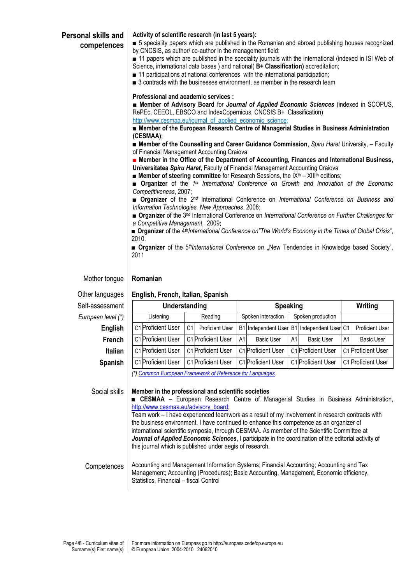|                                  | Activity of scientific research (in last 5 years):<br>5 speciality papers which are published in the Romanian and abroad publishing houses recognized<br>by CNCSIS, as author/co-author in the management field;<br>11 papers which are published in the speciality journals with the international (indexed in ISI Web of<br>Science, international data bases ) and national( B+ Classification) accreditation;<br>■ 11 participations at national conferences with the international participation;<br>3 contracts with the businesses environment, as member in the research team<br>Professional and academic services :<br><b>E</b> Member of Advisory Board for Journal of Applied Economic Sciences (indexed in SCOPUS,<br>RePEc, CEEOL, EBSCO and IndexCopernicus, CNCSIS B+ Classification)<br>http://www.cesmaa.eu/journal_of_applied_economic_science;<br>■ Member of the European Research Centre of Managerial Studies in Business Administration<br>(CESMAA);<br>■ Member of the Counselling and Career Guidance Commission, Spiru Haret University, - Faculty<br>of Financial Management Accounting Craiova<br><b>E</b> Member in the Office of the Department of Accounting, Finances and International Business,<br>Universitatea Spiru Haret, Faculty of Financial Management Accounting Craiova<br><b>Example 4</b> Member of steering committee for Research Sessions, the $IXth - XIIth$ editions;<br><b>n</b> Organizer of the 1 <sup>st</sup> International Conference on Growth and Innovation of the Economic<br>Competitiveness, 2007;<br><b>n</b> Organizer of the 2 <sup>nd</sup> International Conference on International Conference on Business and<br>Information Technologies. New Approaches, 2008;<br><b>n</b> Organizer of the 3 <sup>nd</sup> International Conference on International Conference on Further Challenges for<br>a Competitive Management, 2009;<br>■ Organizer of the 4 <sup>th</sup> International Conference on"The World's Economy in the Times of Global Crisis",<br>2010.<br>■ Organizer of the 5 <sup>th</sup> International Conference on "New Tendencies in Knowledge based Society",<br>2011 |  |  |  |  |
|----------------------------------|-------------------------------------------------------------------------------------------------------------------------------------------------------------------------------------------------------------------------------------------------------------------------------------------------------------------------------------------------------------------------------------------------------------------------------------------------------------------------------------------------------------------------------------------------------------------------------------------------------------------------------------------------------------------------------------------------------------------------------------------------------------------------------------------------------------------------------------------------------------------------------------------------------------------------------------------------------------------------------------------------------------------------------------------------------------------------------------------------------------------------------------------------------------------------------------------------------------------------------------------------------------------------------------------------------------------------------------------------------------------------------------------------------------------------------------------------------------------------------------------------------------------------------------------------------------------------------------------------------------------------------------------------------------------------------------------------------------------------------------------------------------------------------------------------------------------------------------------------------------------------------------------------------------------------------------------------------------------------------------------------------------------------------------------------------------------------------------------------------------------------------------------------------------|--|--|--|--|
|                                  |                                                                                                                                                                                                                                                                                                                                                                                                                                                                                                                                                                                                                                                                                                                                                                                                                                                                                                                                                                                                                                                                                                                                                                                                                                                                                                                                                                                                                                                                                                                                                                                                                                                                                                                                                                                                                                                                                                                                                                                                                                                                                                                                                             |  |  |  |  |
| Self-assessment                  |                                                                                                                                                                                                                                                                                                                                                                                                                                                                                                                                                                                                                                                                                                                                                                                                                                                                                                                                                                                                                                                                                                                                                                                                                                                                                                                                                                                                                                                                                                                                                                                                                                                                                                                                                                                                                                                                                                                                                                                                                                                                                                                                                             |  |  |  |  |
|                                  | Reading<br>Spoken interaction<br>Spoken production<br>Listening                                                                                                                                                                                                                                                                                                                                                                                                                                                                                                                                                                                                                                                                                                                                                                                                                                                                                                                                                                                                                                                                                                                                                                                                                                                                                                                                                                                                                                                                                                                                                                                                                                                                                                                                                                                                                                                                                                                                                                                                                                                                                             |  |  |  |  |
| European level (*)               | C1 Proficient User                                                                                                                                                                                                                                                                                                                                                                                                                                                                                                                                                                                                                                                                                                                                                                                                                                                                                                                                                                                                                                                                                                                                                                                                                                                                                                                                                                                                                                                                                                                                                                                                                                                                                                                                                                                                                                                                                                                                                                                                                                                                                                                                          |  |  |  |  |
| <b>English</b>                   | C1<br>B1 Independent User B1 Independent User C1<br><b>Proficient User</b><br><b>Proficient User</b>                                                                                                                                                                                                                                                                                                                                                                                                                                                                                                                                                                                                                                                                                                                                                                                                                                                                                                                                                                                                                                                                                                                                                                                                                                                                                                                                                                                                                                                                                                                                                                                                                                                                                                                                                                                                                                                                                                                                                                                                                                                        |  |  |  |  |
| French                           | C1 Proficient User<br>C1 Proficient User<br><b>Basic User</b><br><b>Basic User</b><br>A1<br><b>Basic User</b><br>A1<br>A1                                                                                                                                                                                                                                                                                                                                                                                                                                                                                                                                                                                                                                                                                                                                                                                                                                                                                                                                                                                                                                                                                                                                                                                                                                                                                                                                                                                                                                                                                                                                                                                                                                                                                                                                                                                                                                                                                                                                                                                                                                   |  |  |  |  |
| <b>Italian</b>                   | C1 Proficient User<br>C1 Proficient User<br>C1 Proficient User<br>C1 Proficient User<br>C1 Proficient User                                                                                                                                                                                                                                                                                                                                                                                                                                                                                                                                                                                                                                                                                                                                                                                                                                                                                                                                                                                                                                                                                                                                                                                                                                                                                                                                                                                                                                                                                                                                                                                                                                                                                                                                                                                                                                                                                                                                                                                                                                                  |  |  |  |  |
| Mother tongue<br>Other languages | Romanian<br>English, French, Italian, Spanish<br>Understanding<br><b>Speaking</b><br>Writing                                                                                                                                                                                                                                                                                                                                                                                                                                                                                                                                                                                                                                                                                                                                                                                                                                                                                                                                                                                                                                                                                                                                                                                                                                                                                                                                                                                                                                                                                                                                                                                                                                                                                                                                                                                                                                                                                                                                                                                                                                                                |  |  |  |  |

Team work – I have experienced teamwork as a result of my involvement in research contracts with the business environment. I have continued to enhance this competence as an organizer of international scientific symposia, through CESMAA. As member of the Scientific Committee at *Journal of Applied Economic Sciences*, I participate in the coordination of the editorial activity of this journal which is published under aegis of research.

Competences | Accounting and Management Information Systems; Financial Accounting; Accounting and Tax Management; Accounting (Procedures); Basic Accounting, Management, Economic efficiency, Statistics, Financial – fiscal Control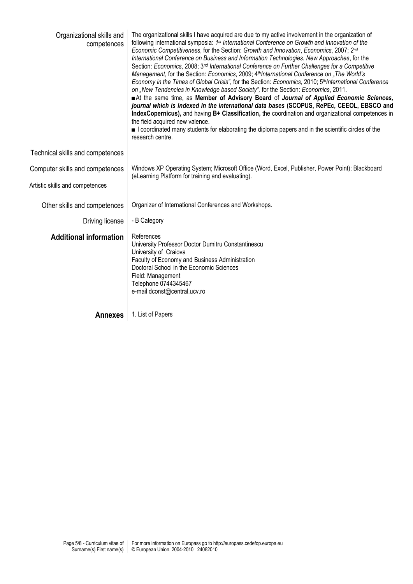| Organizational skills and<br>competences | The organizational skills I have acquired are due to my active involvement in the organization of<br>following international symposia: 1 <sup>st</sup> International Conference on Growth and Innovation of the<br>Economic Competitiveness, for the Section: Growth and Innovation, Economics, 2007; 2 <sup>nd</sup><br>International Conference on Business and Information Technologies. New Approaches, for the<br>Section: Economics, 2008; 3 <sup>nd</sup> International Conference on Further Challenges for a Competitive<br>Management, for the Section: Economics, 2009; 4 <sup>th</sup> International Conference on "The World's<br>Economy in the Times of Global Crisis", for the Section: Economics, 2010; 5 <sup>th</sup> International Conference<br>on "New Tendencies in Knowledge based Society", for the Section: Economics, 2011.<br>At the same time, as Member of Advisory Board of Journal of Applied Economic Sciences,<br>journal which is indexed in the international data bases (SCOPUS, RePEc, CEEOL, EBSCO and<br>IndexCopernicus), and having B+ Classification, the coordination and organizational competences in<br>the field acquired new valence.<br>I coordinated many students for elaborating the diploma papers and in the scientific circles of the<br>research centre. |
|------------------------------------------|-------------------------------------------------------------------------------------------------------------------------------------------------------------------------------------------------------------------------------------------------------------------------------------------------------------------------------------------------------------------------------------------------------------------------------------------------------------------------------------------------------------------------------------------------------------------------------------------------------------------------------------------------------------------------------------------------------------------------------------------------------------------------------------------------------------------------------------------------------------------------------------------------------------------------------------------------------------------------------------------------------------------------------------------------------------------------------------------------------------------------------------------------------------------------------------------------------------------------------------------------------------------------------------------------------------------|
| Technical skills and competences         |                                                                                                                                                                                                                                                                                                                                                                                                                                                                                                                                                                                                                                                                                                                                                                                                                                                                                                                                                                                                                                                                                                                                                                                                                                                                                                                   |
| Computer skills and competences          | Windows XP Operating System; Microsoft Office (Word, Excel, Publisher, Power Point); Blackboard<br>(eLearning Platform for training and evaluating).                                                                                                                                                                                                                                                                                                                                                                                                                                                                                                                                                                                                                                                                                                                                                                                                                                                                                                                                                                                                                                                                                                                                                              |
| Artistic skills and competences          |                                                                                                                                                                                                                                                                                                                                                                                                                                                                                                                                                                                                                                                                                                                                                                                                                                                                                                                                                                                                                                                                                                                                                                                                                                                                                                                   |
| Other skills and competences             | Organizer of International Conferences and Workshops.                                                                                                                                                                                                                                                                                                                                                                                                                                                                                                                                                                                                                                                                                                                                                                                                                                                                                                                                                                                                                                                                                                                                                                                                                                                             |
| Driving license                          | - B Category                                                                                                                                                                                                                                                                                                                                                                                                                                                                                                                                                                                                                                                                                                                                                                                                                                                                                                                                                                                                                                                                                                                                                                                                                                                                                                      |
| <b>Additional information</b>            | References<br>University Professor Doctor Dumitru Constantinescu<br>University of Craiova<br>Faculty of Economy and Business Administration<br>Doctoral School in the Economic Sciences<br>Field: Management<br>Telephone 0744345467<br>e-mail dconst@central.ucv.ro                                                                                                                                                                                                                                                                                                                                                                                                                                                                                                                                                                                                                                                                                                                                                                                                                                                                                                                                                                                                                                              |
| <b>Annexes</b>                           | 1. List of Papers                                                                                                                                                                                                                                                                                                                                                                                                                                                                                                                                                                                                                                                                                                                                                                                                                                                                                                                                                                                                                                                                                                                                                                                                                                                                                                 |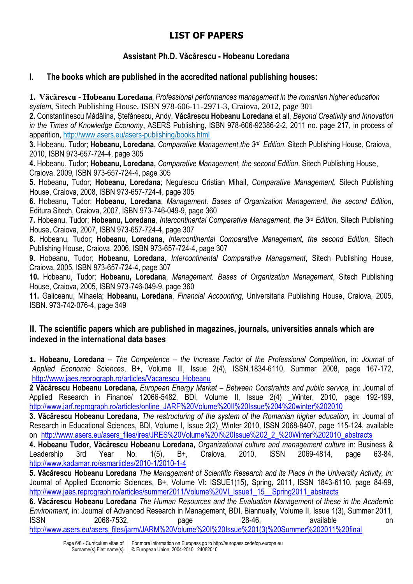## **LIST OF PAPERS**

### **Assistant Ph.D. Văcărescu - Hobeanu Loredana**

#### **I. The books which are published in the accredited national publishing houses:**

**1. Văcărescu - Hobeanu Loredana,** *Professional performances management in the romanian higher education system***,** Sitech Publishing House, ISBN 978-606-11-2971-3, Craiova, 2012, page 301

**2.** Constantinescu Mădălina, Ştefănescu, Andy, **Văcărescu Hobeanu Loredana** et all, *Beyond Creativity and Innovation in the Times of Knowledge Economy***,** ASERS Publishing, ISBN 978-606-92386-2-2, 2011 no. page 217, in process of apparition,<http://www.asers.eu/asers-publishing/books.html>

**3.** Hobeanu, Tudor; **Hobeanu, Loredana,** *Comparative Management,the 3rd Edition*, Sitech Publishing House, Craiova, 2010, ISBN 973-657-724-4, page 305

**4.** Hobeanu, Tudor; **Hobeanu, Loredana,** *Comparative Management, the second Edition,* Sitech Publishing House, Craiova, 2009, ISBN 973-657-724-4, page 305

**5.** Hobeanu, Tudor; **Hobeanu, Loredana**; Negulescu Cristian Mihail, *Comparative Management*, Sitech Publishing House, Craiova, 2008, ISBN 973-657-724-4, page 305

**6.** Hobeanu, Tudor; **Hobeanu, Loredana**, *Management. Bases of Organization Management*, *the second Edition*, Editura Sitech, Craiova, 2007, ISBN 973-746-049-9, page 360

**7.** Hobeanu, Tudor; **Hobeanu, Loredana***, Intercontinental Comparative Management, the 3 rd Edition,* Sitech Publishing House, Craiova, 2007, ISBN 973-657-724-4, page 307

**8.** Hobeanu, Tudor; **Hobeanu, Loredana**, *Intercontinental Comparative Management, the second Edition,* Sitech Publishing House, Craiova, 2006, ISBN 973-657-724-4, page 307

**9.** Hobeanu, Tudor; **Hobeanu, Loredana***, Intercontinental Comparative Management*, Sitech Publishing House, Craiova, 2005, ISBN 973-657-724-4, page 307

**10.** Hobeanu, Tudor; **Hobeanu, Loredana**, *Management. Bases of Organization Management*, Sitech Publishing House, Craiova, 2005, ISBN 973-746-049-9, page 360

**11.** Galiceanu, Mihaela; **Hobeanu, Loredana**, *Financial Accounting*, Universitaria Publishing House, Craiova, 2005, ISBN. 973-742-076-4, page 349

#### **II**. **The scientific papers which are published in magazines, journals, universities annals which are indexed in the international data bases**

**1. Hobeanu, Loredana** – *The Competence – the Increase Factor of the Professional Competition*, in: *Journal of Applied Economic Sciences*, B+, Volume III, Issue 2(4), ISSN.1834-6110, Summer 2008, page 167-172, [http://www.jaes.reprograph.ro/articles/Vacarescu\\_Hobeanu](http://www.jaes.reprograph.ro/articles/Vacarescu_Hobeanu)

**2 Văcărescu Hobeanu Loredana,** *European Energy Market – Between Constraints and public service,* in: Journal of Applied Research in Finance/ 12066-5482, BDI, Volume II, Issue 2(4) \_Winter, 2010, page 192-199, [http://www.jarf.reprograph.ro/articles/online\\_JARF%20Volume%20II%20Issue%204%20winter%202010](http://www.jarf.reprograph.ro/articles/online_JARF%20Volume%20II%20Issue%204%20winter%202010)

**3. Văcărescu Hobeanu Loredana,** *The restructuring of the system of the Romanian higher education,* in: Journal of Research in Educational Sciences, BDI, Volume I, Issue 2(2) Winter 2010, ISSN 2068-8407, page 115-124, available on [http://www.asers.eu/asers\\_files/jres/JRES%20Volume%20I%20Issue%202\\_2\\_%20Winter%202010\\_abstracts](http://www.asers.eu/asers_files/jres/JRES%20Volume%20I%20Issue%202_2_%20Winter%202010_abstracts)

**4. Hobeanu Tudor, Văcărescu Hobeanu Loredana,** *Organizational culture and management culture* in: Business & Leadership 3rd Year No. 1(5), B+, Craiova, 2010, ISSN 2069-4814, page 63-84, <http://www.kadamar.ro/ssmarticles/2010-1/2010-1-4>

**5. Văcărescu Hobeanu Loredana** *The Management of Scientific Research and its Place in the University Activity, in:*  Journal of Applied Economic Sciences, B+, Volume VI: ISSUE1(15), Spring, 2011, ISSN 1843-6110, page 84-99, [http://www.jaes.reprograph.ro/articles/summer2011/Volume%20VI\\_Issue1\\_15\\_\\_Spring2011\\_abstracts](http://www.jaes.reprograph.ro/articles/summer2011/Volume%20VI_Issue1_15__Spring2011_abstracts)

**6. Văcărescu Hobeanu Loredana** *The Human Resources and the Evaluation Management of these in the Academic Environment,* in: Journal of Advanced Research in Management, BDI, Biannually, Volume II, Issue 1(3), Summer 2011, ISSN 2068-7532, page 28-46, available on [http://www.asers.eu/asers\\_files/jarm/JARM%20Volume%20I%20Issue%201\(3\)%20Summer%202011%20final](http://www.asers.eu/asers_files/jarm/JARM%20Volume%20I%20Issue%201(3)%20Summer%202011%20final)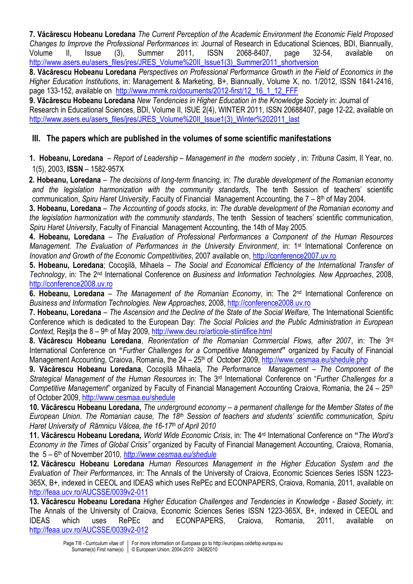**7. Văcărescu Hobeanu Loredana** *The Current Perception of the Academic Environment the Economic Field Proposed Changes to Improve the Professional Performances* in: Journal of Research in Educational Sciences, BDI, Biannually, Volume II, Issue (3), Summer 2011, ISSN 2068-8407, page 32-54, available on [http://www.asers.eu/asers\\_files/jres/JRES\\_Volume%20II\\_Issue1\(3\)\\_Summer2011\\_shortversion](http://www.asers.eu/asers_files/jres/JRES_Volume%20II_Issue1(3)_Summer2011_shortversion)

**8. Văcărescu Hobeanu Loredana** *Perspectives on Professional Performance Growth in the Field of Economics in the Higher Education Institutions*, in: Management & Marketing, B+, Biannually, Volume X, no. 1/2012, ISSN 1841-2416, page 133-152, available on [http://www.mnmk.ro/documents/2012-first/12\\_16\\_1\\_12\\_FFF](http://www.mnmk.ro/documents/2012-first/12_16_1_12_FFF)

**9. Văcărescu Hobeanu Loredana** *New Tendencies in Higher Education in the Knowledge Society* in: Journal of Research in Educational Sciences, BDI, Volume II, ISUE 2(4), WINTER 2011, ISSN 20688407, page 12-22, available on [http://www.asers.eu/asers\\_files/jres/JRES\\_Volume%20II\\_Issue1\(3\)\\_Winter%202011\\_last](http://www.asers.eu/asers_files/jres/JRES_Volume%20II_Issue1(3)_Winter%202011_last)

#### **III. The papers which are published in the volumes of some scientific manifestations**

**1. Hobeanu, Loredana** – *Report of Leadership – Management in the modern society* , in: *Tribuna Casim*, II Year, no. 1(5), 2003, **ISSN** – 1582-957X

**2. Hobeanu, Loredana** – *The decisions of long-term financing,* in: *The durable development of the Romanian economy and the legislation harmonization with the community standards*, The tenth Session of teachers' scientific communication, Spiru Haret University, Faculty of Financial Management Accounting, the 7 – 8<sup>th</sup> of May 2004.

**3. Hobeanu, Loredana** – *The Accounting of goods stocks,* in: *The durable development of the Romanian economy and the legislation harmonization with the community standards*, The tenth Session of teachers' scientific communication, *Spiru Haret University*, Faculty of Financial Management Accounting, the 14th of May 2005.

**4. Hobeanu, Loredana** – *The Evaluation of Professional Performances a Component of the Human Resources Management. The Evaluation of Performances in the University Environment*, in: 1st International Conference on *Inovation and Growth of the Economic Competitivities*, 2007 available on, [http://conference2007.uv.ro](http://conference2007.uv.ro/)

**5. Hobeanu, Loredana**; Cocoşilă, Mihaela – *The Social and Economical Efficiency of the International Transfer of Technology*, in: The 2nd International Conference on *Business and Information Technologies. New Approaches*, 2008, [http://conference2008.uv.ro](http://conference2008.uv.ro/)

**6. Hobeanu, Loredana** – *The Management of the Romanian Economy*, in: The 2nd International Conference on *Business and Information Technologies. New Approaches*, 2008, [http://conference2008.uv.ro](http://conference2008.uv.ro/)

**7. Hobeanu, Loredana** – *The Ascension and the Decline of the State of the Social Welfare,* The International Scientific Conference which is dedicated to the European Day: *The Social Policies and the Public Administration in European* Context, Reşița the 8 – 9<sup>th</sup> of May 2009[, http://www.deu.ro/articole-stiintifice.html](http://www.deu.ro/articole-stiintifice.html)

**8. Văcărescu Hobeanu Loredana**, *Reorientation of the Romanian Commercial Flows, after 2007*, in: The 3rd International Conference on **"***Further Challenges for a Competitive Management***"** organized by Faculty of Financial Management Accounting, Craiova, Romania, the 24 – 25<sup>th</sup> of October 2009,<http://www.cesmaa.eu/shedule.php>

**9. Văcărescu Hobeanu Loredana**, Cocoşilă Mihaela, *The Performance Management – The Component of the Strategical Management of the Human Resources* in: The 3rd International Conference on "*Further Challenges for a Competitive Management*" organized by Faculty of Financial Management Accounting Craiova, Romania, the 24 – 25<sup>th</sup> of October 2009,<http://www.cesmaa.eu/shedule>

**10. Văcărescu Hobeanu Loredana,** *The underground economy – a permanent challenge for the Member States of the European Union. The Romanian cause, The 18th Session of teachers and students' scientific communication, Spiru Haret University of Rămnicu Vâlcea, the 16-17th of April 2010*

**11. Văcărescu Hobeanu Loredana***, World Wide Economic Crisis*, in: The 4rd International Conference on **"***The Word's Economy in the Times of Global Crisis"* organized by Faculty of Financial Management Accounting, Craiova, Romania, the 5 – 6 th of November 2010*,<http://www.cesmaa.eu/shedule>*

**12. Văcărescu Hobeanu Loredana** *Human Resources Management in the Higher Education System and the Evaluation of Their Performances*, in: The Annals of the University of Craiova, Economic Sciences Series ISSN 1223- 365X, B+, indexed in CEEOL and IDEAS which uses RePEc and ECONPAPERS, Craiova, Romania, 2011, available on <http://feaa.ucv.ro/AUCSSE/0039v2-011>

**13. Văcărescu Hobeanu Loredana** *Higher Education Challenges and Tendencies in Knowledge - Based Society, in:* The Annals of the University of Craiova, Economic Sciences Series ISSN 1223-365X, B+, indexed in CEEOL and IDEAS which uses RePEc and ECONPAPERS, Craiova, Romania, 2011, available on <http://feaa.ucv.ro/AUCSSE/0039v2-012>